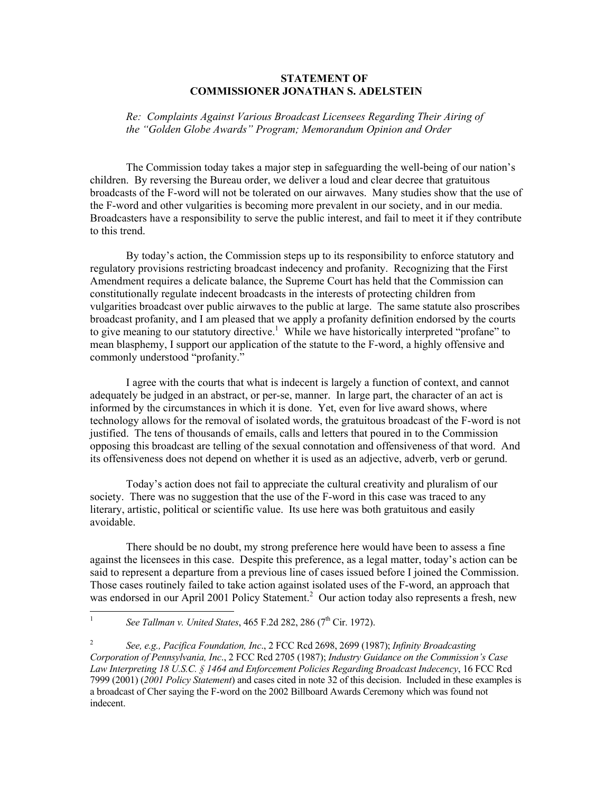## **STATEMENT OF COMMISSIONER JONATHAN S. ADELSTEIN**

*Re: Complaints Against Various Broadcast Licensees Regarding Their Airing of the "Golden Globe Awards" Program; Memorandum Opinion and Order*

The Commission today takes a major step in safeguarding the well-being of our nation's children. By reversing the Bureau order, we deliver a loud and clear decree that gratuitous broadcasts of the F-word will not be tolerated on our airwaves. Many studies show that the use of the F-word and other vulgarities is becoming more prevalent in our society, and in our media. Broadcasters have a responsibility to serve the public interest, and fail to meet it if they contribute to this trend.

By today's action, the Commission steps up to its responsibility to enforce statutory and regulatory provisions restricting broadcast indecency and profanity. Recognizing that the First Amendment requires a delicate balance, the Supreme Court has held that the Commission can constitutionally regulate indecent broadcasts in the interests of protecting children from vulgarities broadcast over public airwaves to the public at large. The same statute also proscribes broadcast profanity, and I am pleased that we apply a profanity definition endorsed by the courts to give meaning to our statutory directive.<sup>1</sup> While we have historically interpreted "profane" to mean blasphemy, I support our application of the statute to the F-word, a highly offensive and commonly understood "profanity."

I agree with the courts that what is indecent is largely a function of context, and cannot adequately be judged in an abstract, or per-se, manner. In large part, the character of an act is informed by the circumstances in which it is done. Yet, even for live award shows, where technology allows for the removal of isolated words, the gratuitous broadcast of the F-word is not justified. The tens of thousands of emails, calls and letters that poured in to the Commission opposing this broadcast are telling of the sexual connotation and offensiveness of that word. And its offensiveness does not depend on whether it is used as an adjective, adverb, verb or gerund.

Today's action does not fail to appreciate the cultural creativity and pluralism of our society. There was no suggestion that the use of the F-word in this case was traced to any literary, artistic, political or scientific value. Its use here was both gratuitous and easily avoidable.

There should be no doubt, my strong preference here would have been to assess a fine against the licensees in this case. Despite this preference, as a legal matter, today's action can be said to represent a departure from a previous line of cases issued before I joined the Commission. Those cases routinely failed to take action against isolated uses of the F-word, an approach that was endorsed in our April 2001 Policy Statement.<sup>2</sup> Our action today also represents a fresh, new

<sup>|&</sup>lt;br>|<br>| *See Tallman v. United States, 465 F.2d 282, 286 (7<sup>th</sup> Cir. 1972).* 

<sup>2</sup> *See, e.g., Pacifica Foundation, Inc*., 2 FCC Rcd 2698, 2699 (1987); *Infinity Broadcasting Corporation of Pennsylvania, Inc*., 2 FCC Rcd 2705 (1987); *Industry Guidance on the Commission's Case Law Interpreting 18 U.S.C. § 1464 and Enforcement Policies Regarding Broadcast Indecency*, 16 FCC Rcd 7999 (2001) (*2001 Policy Statement*) and cases cited in note 32 of this decision. Included in these examples is a broadcast of Cher saying the F-word on the 2002 Billboard Awards Ceremony which was found not indecent.